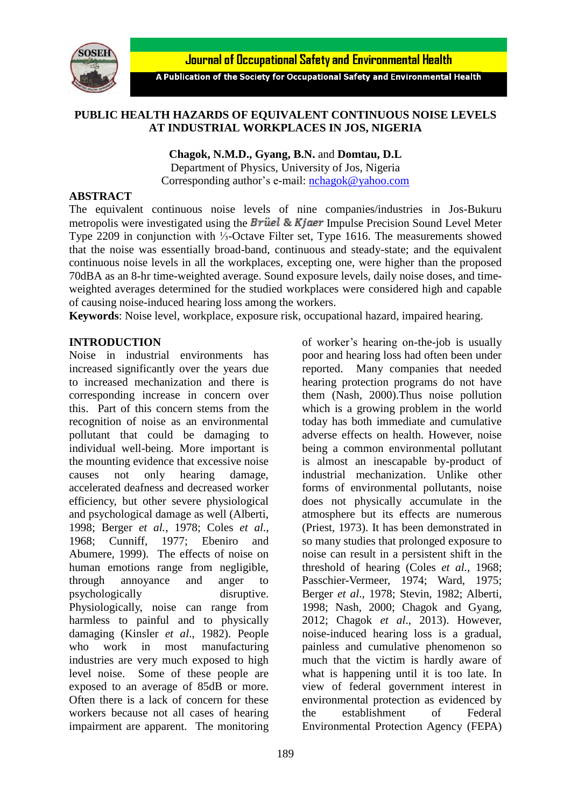



A Publication of the Society for Occupational Safety and Environmental Health

### **PUBLIC HEALTH HAZARDS OF EQUIVALENT CONTINUOUS NOISE LEVELS AT INDUSTRIAL WORKPLACES IN JOS, NIGERIA**

**Chagok, N.M.D., Gyang, B.N.** and **Domtau, D.L** Department of Physics, University of Jos, Nigeria Corresponding author's e-mail: [nchagok@yahoo.com](mailto:nchagok@yahoo.com)

#### **ABSTRACT**

The equivalent continuous noise levels of nine companies/industries in Jos-Bukuru metropolis were investigated using the **Brüel & Kjaer** Impulse Precision Sound Level Meter Type 2209 in conjunction with ⅓-Octave Filter set, Type 1616. The measurements showed that the noise was essentially broad-band, continuous and steady-state; and the equivalent continuous noise levels in all the workplaces, excepting one, were higher than the proposed 70dBA as an 8-hr time-weighted average. Sound exposure levels, daily noise doses, and timeweighted averages determined for the studied workplaces were considered high and capable of causing noise-induced hearing loss among the workers.

**Keywords**: Noise level, workplace, exposure risk, occupational hazard, impaired hearing.

### **INTRODUCTION**

Noise in industrial environments has increased significantly over the years due to increased mechanization and there is corresponding increase in concern over this. Part of this concern stems from the recognition of noise as an environmental pollutant that could be damaging to individual well-being. More important is the mounting evidence that excessive noise causes not only hearing damage, accelerated deafness and decreased worker efficiency, but other severe physiological and psychological damage as well (Alberti, 1998; Berger *et al.*, 1978; Coles *et al.*, 1968; Cunniff, 1977; Ebeniro and Abumere, 1999). The effects of noise on human emotions range from negligible, through annoyance and anger to psychologically disruptive. Physiologically, noise can range from harmless to painful and to physically damaging (Kinsler *et al*., 1982). People who work in most manufacturing industries are very much exposed to high level noise. Some of these people are exposed to an average of 85dB or more. Often there is a lack of concern for these workers because not all cases of hearing impairment are apparent. The monitoring of worker's hearing on-the-job is usually poor and hearing loss had often been under reported. Many companies that needed hearing protection programs do not have them (Nash, 2000).Thus noise pollution which is a growing problem in the world today has both immediate and cumulative adverse effects on health. However, noise being a common environmental pollutant is almost an inescapable by-product of industrial mechanization. Unlike other forms of environmental pollutants, noise does not physically accumulate in the atmosphere but its effects are numerous (Priest, 1973). It has been demonstrated in so many studies that prolonged exposure to noise can result in a persistent shift in the threshold of hearing (Coles *et al.*, 1968; Passchier-Vermeer, 1974; Ward, 1975; Berger *et al*., 1978; Stevin, 1982; Alberti, 1998; Nash, 2000; Chagok and Gyang, 2012; Chagok *et al*., 2013). However, noise-induced hearing loss is a gradual, painless and cumulative phenomenon so much that the victim is hardly aware of what is happening until it is too late. In view of federal government interest in environmental protection as evidenced by the establishment of Federal Environmental Protection Agency (FEPA)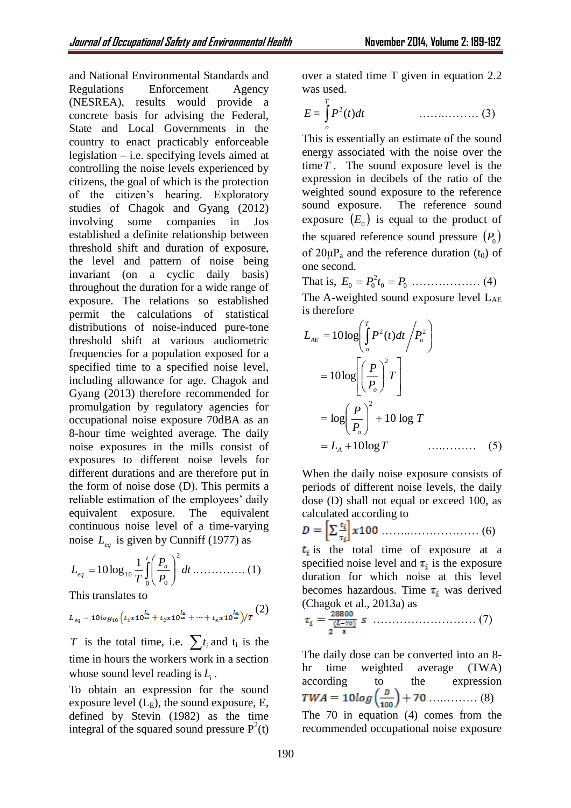and National Environmental Standards and Regulations Enforcement Agency (NESREA), results would provide a concrete basis for advising the Federal, State and Local Governments in the country to enact practicably enforceable legislation – i.e. specifying levels aimed at controlling the noise levels experienced by citizens, the goal of which is the protection of the citizen's hearing. Exploratory studies of Chagok and Gyang (2012) involving some companies in Jos established a definite relationship between threshold shift and duration of exposure, the level and pattern of noise being invariant (on a cyclic daily basis) throughout the duration for a wide range of exposure. The relations so established permit the calculations of statistical distributions of noise-induced pure-tone threshold shift at various audiometric frequencies for a population exposed for a specified time to a specified noise level, including allowance for age. Chagok and Gyang (2013) therefore recommended for promulgation by regulatory agencies for occupational noise exposure 70dBA as an 8-hour time weighted average. The daily noise exposures in the mills consist of exposures to different noise levels for different durations and are therefore put in the form of noise dose (D). This permits a reliable estimation of the employees' daily equivalent exposure. The equivalent continuous noise level of a time-varying noise *Leq* is given by Cunniff (1977) as

$$
L_{eq} = 10 \log_{10} \frac{1}{T} \int_{0}^{t} \left(\frac{P_a}{P_0}\right)^2 dt \dots \dots \dots \dots \dots (1)
$$

This translates to

$$
L_{eq} = 10\log_{10}\left(t_1 \times 10^{\frac{L_1}{10}} + t_2 \times 10^{\frac{L_2}{10}} + \dots + t_n \times 10^{\frac{L_n}{10}}\right)/T
$$
 (2)

*T* is the total time, i.e.  $\sum t_i$  and  $t_i$  is the time in hours the workers work in a section whose sound level reading is *Li* .

To obtain an expression for the sound exposure level  $(L<sub>E</sub>)$ , the sound exposure, E, defined by Stevin (1982) as the time integral of the squared sound pressure  $P^2(t)$  over a stated time T given in equation 2.2 was used.

$$
E = \int_{0}^{T} P^{2}(t)dt
$$
 (3)

This is essentially an estimate of the sound energy associated with the noise over the time *T* . The sound exposure level is the expression in decibels of the ratio of the weighted sound exposure to the reference sound exposure. The reference sound exposure  $(E_0)$  is equal to the product of the squared reference sound pressure  $(P_0)$ of  $20\mu P_a$  and the reference duration (t<sub>0</sub>) of one second.

That is, 
$$
E_0 = P_0^2 t_0 = P_0
$$
 ....... (4)

The A-weighted sound exposure level LAE is therefore

$$
L_{AE} = 10\log\left(\frac{T}{\rho}\right)P^2(t)dt / P_o^2
$$
  
=  $10\log\left[\left(\frac{P}{P_o}\right)^2T\right]$   
=  $\log\left(\frac{P}{P_o}\right)^2 + 10\log T$   
=  $L_A + 10\log T$  (5)

When the daily noise exposure consists of periods of different noise levels, the daily dose (D) shall not equal or exceed 100, as calculated according to

$$
D = \left[\sum \frac{t_i}{\tau_i}\right] x 100 \dots \dots \dots \dots \dots \dots \dots \dots \tag{6}
$$

 $t_i$  is the total time of exposure at a specified noise level and  $\tau_i$  is the exposure duration for which noise at this level becomes hazardous. Time  $\tau_i$  was derived (Chagok et al., 2013a) as

$$
\tau_i = \frac{\underbrace{28800}}{\underbrace{2 \cdot 70}} \, s \, \dots \dots \dots \dots \dots \dots \dots \dots \dots \dots \tag{7}
$$

The daily dose can be converted into an 8 hr time weighted average (TWA) according to the expression ….……… (8) The 70 in equation (4) comes from the recommended occupational noise exposure

 $(2)$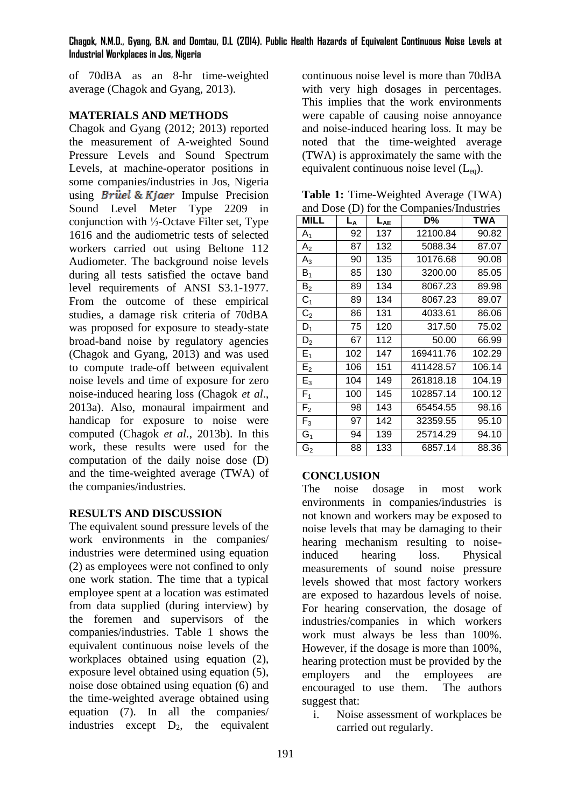### **Chagok, N.M.D., Gyang, B.N. and Domtau, D.L (2014). Public Health Hazards of Equivalent Continuous Noise Levels at Industrial Workplaces in Jos, Nigeria**

of 70dBA as an 8-hr time-weighted average (Chagok and Gyang, 2013).

# **MATERIALS AND METHODS**

Chagok and Gyang (2012; 2013) reported the measurement of A-weighted Sound Pressure Levels and Sound Spectrum Levels, at machine-operator positions in some companies/industries in Jos, Nigeria using *Brüel & Kjaer* Impulse Precision Sound Level Meter Type 2209 in conjunction with ⅓-Octave Filter set, Type 1616 and the audiometric tests of selected workers carried out using Beltone 112 Audiometer. The background noise levels during all tests satisfied the octave band level requirements of ANSI S3.1-1977. From the outcome of these empirical studies, a damage risk criteria of 70dBA was proposed for exposure to steady-state broad-band noise by regulatory agencies (Chagok and Gyang, 2013) and was used to compute trade-off between equivalent noise levels and time of exposure for zero noise-induced hearing loss (Chagok *et al*., 2013a). Also, monaural impairment and handicap for exposure to noise were computed (Chagok *et al.*, 2013b). In this work, these results were used for the computation of the daily noise dose (D) and the time-weighted average (TWA) of the companies/industries.

## **RESULTS AND DISCUSSION**

The equivalent sound pressure levels of the work environments in the companies/ industries were determined using equation (2) as employees were not confined to only one work station. The time that a typical employee spent at a location was estimated from data supplied (during interview) by the foremen and supervisors of the companies/industries. Table 1 shows the equivalent continuous noise levels of the workplaces obtained using equation (2), exposure level obtained using equation (5), noise dose obtained using equation (6) and the time-weighted average obtained using equation (7). In all the companies/ industries except  $D_2$ , the equivalent

continuous noise level is more than 70dBA with very high dosages in percentages. This implies that the work environments were capable of causing noise annoyance and noise-induced hearing loss. It may be noted that the time-weighted average (TWA) is approximately the same with the equivalent continuous noise level  $(L_{eq})$ .

**Table 1:** Time-Weighted Average (TWA) and Dose (D) for the Companies/Industries

| and Dose $(D)$ for the Companies/modules |       |          |           |            |
|------------------------------------------|-------|----------|-----------|------------|
| MILL                                     | $L_A$ | $L_{AE}$ | D%        | <b>TWA</b> |
| $A_1$                                    | 92    | 137      | 12100.84  | 90.82      |
| A <sub>2</sub>                           | 87    | 132      | 5088.34   | 87.07      |
| $A_3$                                    | 90    | 135      | 10176.68  | 90.08      |
| $\mathsf B_1$                            | 85    | 130      | 3200.00   | 85.05      |
| $\mathsf B_2$                            | 89    | 134      | 8067.23   | 89.98      |
| $C_1$                                    | 89    | 134      | 8067.23   | 89.07      |
| C <sub>2</sub>                           | 86    | 131      | 4033.61   | 86.06      |
| $D_1$                                    | 75    | 120      | 317.50    | 75.02      |
| $D_2$                                    | 67    | 112      | 50.00     | 66.99      |
| $E_1$                                    | 102   | 147      | 169411.76 | 102.29     |
| E <sub>2</sub>                           | 106   | 151      | 411428.57 | 106.14     |
| $E_3$                                    | 104   | 149      | 261818.18 | 104.19     |
| F <sub>1</sub>                           | 100   | 145      | 102857.14 | 100.12     |
| F <sub>2</sub>                           | 98    | 143      | 65454.55  | 98.16      |
| $F_3$                                    | 97    | 142      | 32359.55  | 95.10      |
| G <sub>1</sub>                           | 94    | 139      | 25714.29  | 94.10      |
| G <sub>2</sub>                           | 88    | 133      | 6857.14   | 88.36      |

## **CONCLUSION**

The noise dosage in most work environments in companies/industries is not known and workers may be exposed to noise levels that may be damaging to their hearing mechanism resulting to noiseinduced hearing loss. Physical measurements of sound noise pressure levels showed that most factory workers are exposed to hazardous levels of noise. For hearing conservation, the dosage of industries/companies in which workers work must always be less than 100%. However, if the dosage is more than 100%, hearing protection must be provided by the employers and the employees are encouraged to use them. The authors suggest that:

i. Noise assessment of workplaces be carried out regularly.